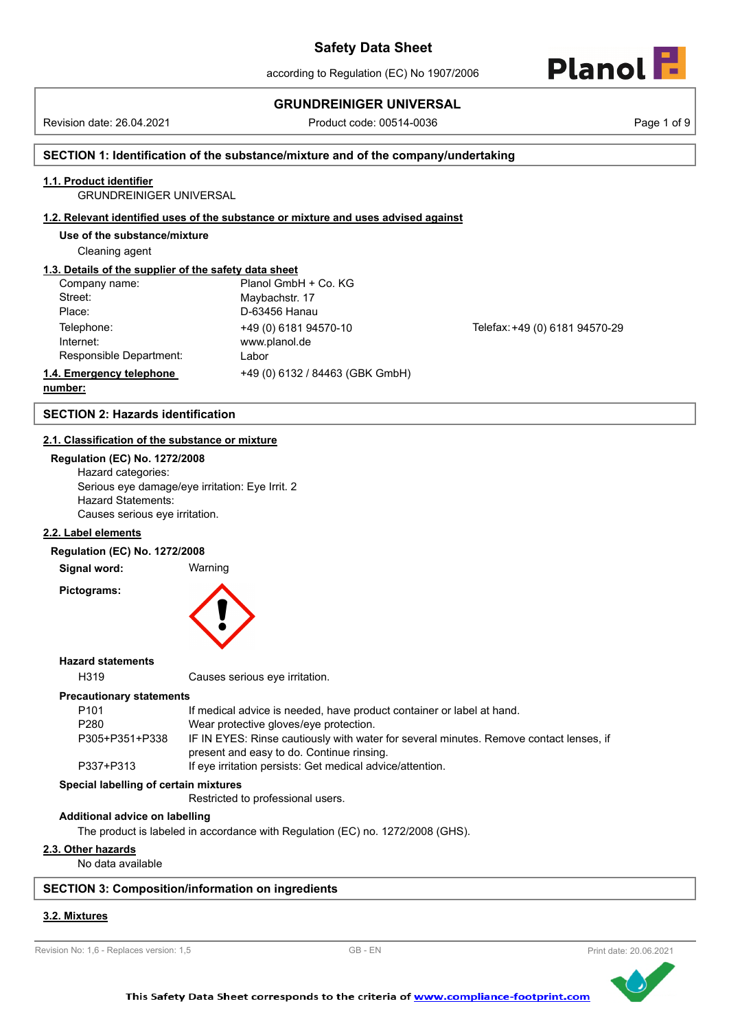## **GRUNDREINIGER UNIVERSAL**

Revision date: 26.04.2021 Product code: 00514-0036 Page 1 of 9

Planol

### **SECTION 1: Identification of the substance/mixture and of the company/undertaking**

### **1.1. Product identifier**

GRUNDREINIGER UNIVERSAL

#### **1.2. Relevant identified uses of the substance or mixture and uses advised against**

**Use of the substance/mixture**

Cleaning agent

### **1.3. Details of the supplier of the safety data sheet**

| Company name:            | Planol GmbH + Co. KG            |
|--------------------------|---------------------------------|
| Street:                  | Maybachstr. 17                  |
| Place:                   | D-63456 Hanau                   |
| Telephone:               | +49 (0) 6181 94570-10           |
| Internet:                | www.planol.de                   |
| Responsible Department:  | Labor                           |
| 1.4. Emergency telephone | +49 (0) 6132 / 84463 (GBK GmbH) |

Telefax: +49 (0) 6181 94570-29

### **number:**

### **SECTION 2: Hazards identification**

#### **2.1. Classification of the substance or mixture**

**Regulation (EC) No. 1272/2008** Hazard categories: Serious eye damage/eye irritation: Eye Irrit. 2 Hazard Statements: Causes serious eye irritation.

#### **2.2. Label elements**

#### **Regulation (EC) No. 1272/2008**

**Signal word:** Warning

**Pictograms:**

#### **Hazard statements**

H319 Causes serious eye irritation.

#### **Precautionary statements**

| P <sub>101</sub> | If medical advice is needed, have product container or label at hand.                  |
|------------------|----------------------------------------------------------------------------------------|
| P <sub>280</sub> | Wear protective gloves/eye protection.                                                 |
| P305+P351+P338   | IF IN EYES: Rinse cautiously with water for several minutes. Remove contact lenses, if |
|                  | present and easy to do. Continue rinsing.                                              |
| P337+P313        | If eye irritation persists: Get medical advice/attention.                              |

## **Special labelling of certain mixtures**

Restricted to professional users.

#### **Additional advice on labelling**

The product is labeled in accordance with Regulation (EC) no. 1272/2008 (GHS).

#### **2.3. Other hazards**

No data available

#### **SECTION 3: Composition/information on ingredients**

### **3.2. Mixtures**

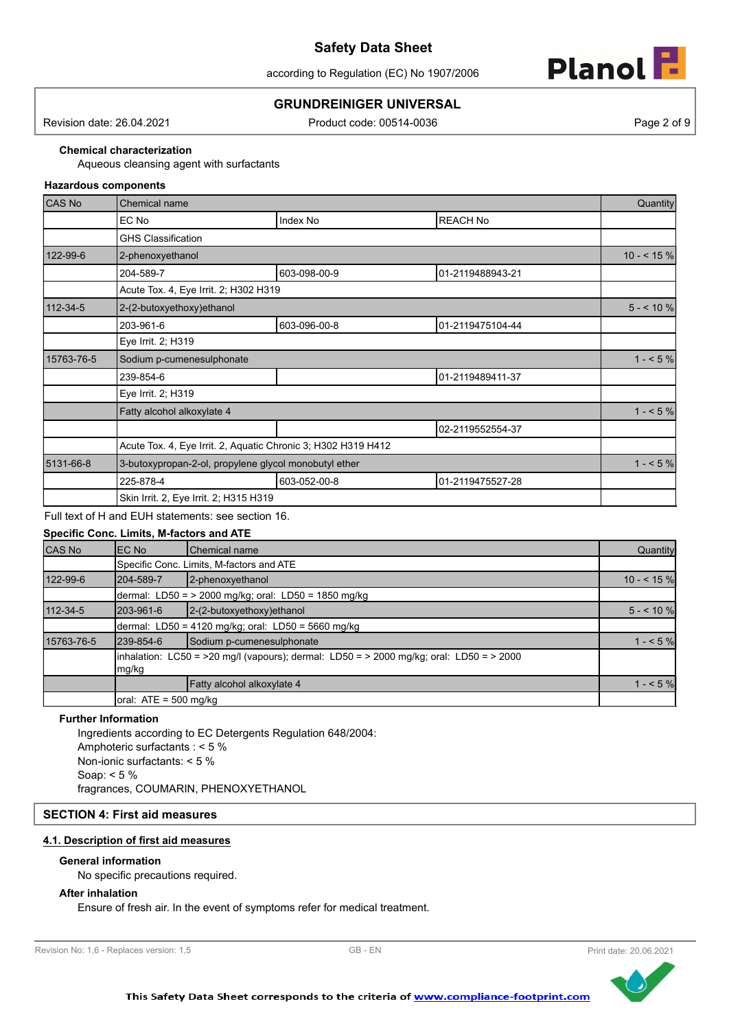according to Regulation (EC) No 1907/2006



### **GRUNDREINIGER UNIVERSAL**

Revision date: 26.04.2021 Product code: 00514-0036 Page 2 of 9

**Chemical characterization**

Aqueous cleansing agent with surfactants

#### **Hazardous components**

| <b>CAS No</b>  | <b>Chemical name</b>                                  |                                                               |                  | Quantity    |
|----------------|-------------------------------------------------------|---------------------------------------------------------------|------------------|-------------|
|                | EC No                                                 | Index No                                                      | <b>REACH No</b>  |             |
|                | <b>GHS Classification</b>                             |                                                               |                  |             |
| 122-99-6       | 2-phenoxyethanol                                      |                                                               |                  | $10 - 545%$ |
|                | 204-589-7                                             | 603-098-00-9                                                  | 01-2119488943-21 |             |
|                | Acute Tox. 4, Eye Irrit. 2; H302 H319                 |                                                               |                  |             |
| $112 - 34 - 5$ | 2-(2-butoxyethoxy)ethanol                             |                                                               |                  | $5 - 10%$   |
|                | 203-961-6                                             | 603-096-00-8                                                  | 01-2119475104-44 |             |
|                | Eye Irrit. 2; H319                                    |                                                               |                  |             |
| 15763-76-5     | Sodium p-cumenesulphonate                             |                                                               |                  | $1 - 5\%$   |
|                | 239-854-6                                             |                                                               | 01-2119489411-37 |             |
|                | Eye Irrit. 2; H319                                    |                                                               |                  |             |
|                | Fatty alcohol alkoxylate 4                            |                                                               |                  | $1 - 5\%$   |
|                |                                                       |                                                               | 02-2119552554-37 |             |
|                |                                                       | Acute Tox. 4, Eye Irrit. 2, Aquatic Chronic 3; H302 H319 H412 |                  |             |
| 5131-66-8      | 3-butoxypropan-2-ol, propylene glycol monobutyl ether |                                                               |                  | $1 - 5\%$   |
|                | 225-878-4                                             | 603-052-00-8                                                  | 01-2119475527-28 |             |
|                | Skin Irrit. 2, Eye Irrit. 2; H315 H319                |                                                               |                  |             |

Full text of H and EUH statements: see section 16.

|            | <b>Specific Conc. Limits, M-factors and ATE</b> |                                                                                         |             |
|------------|-------------------------------------------------|-----------------------------------------------------------------------------------------|-------------|
| CAS No     | IEC No                                          | <b>Chemical name</b>                                                                    | Quantity    |
|            |                                                 | Specific Conc. Limits, M-factors and ATE                                                |             |
| 122-99-6   | 204-589-7                                       | 2-phenoxyethanol                                                                        | $10 - 55$ % |
|            |                                                 | dermal: LD50 = $>$ 2000 mg/kg; oral: LD50 = 1850 mg/kg                                  |             |
| 112-34-5   | 203-961-6                                       | $2-(2-butoxyethoxy)ethanol$                                                             | $5 - 10$ %  |
|            |                                                 | dermal: LD50 = 4120 mg/kg; oral: LD50 = 5660 mg/kg                                      |             |
| 15763-76-5 | 239-854-6                                       | Sodium p-cumenesulphonate                                                               | $1 - 5%$    |
|            | mg/kg                                           | inhalation: LC50 = >20 mg/l (vapours); dermal: LD50 = > 2000 mg/kg; oral: LD50 = > 2000 |             |
|            |                                                 | Fatty alcohol alkoxylate 4                                                              | $1 - 5%$    |
|            | oral: $ATE = 500$ mg/kg                         |                                                                                         |             |

#### **Further Information**

Ingredients according to EC Detergents Regulation 648/2004: Amphoteric surfactants : < 5 % Non-ionic surfactants: < 5 % Soap: < 5 % fragrances, COUMARIN, PHENOXYETHANOL

### **SECTION 4: First aid measures**

### **4.1. Description of first aid measures**

#### **General information**

No specific precautions required.

**After inhalation**

Ensure of fresh air. In the event of symptoms refer for medical treatment.



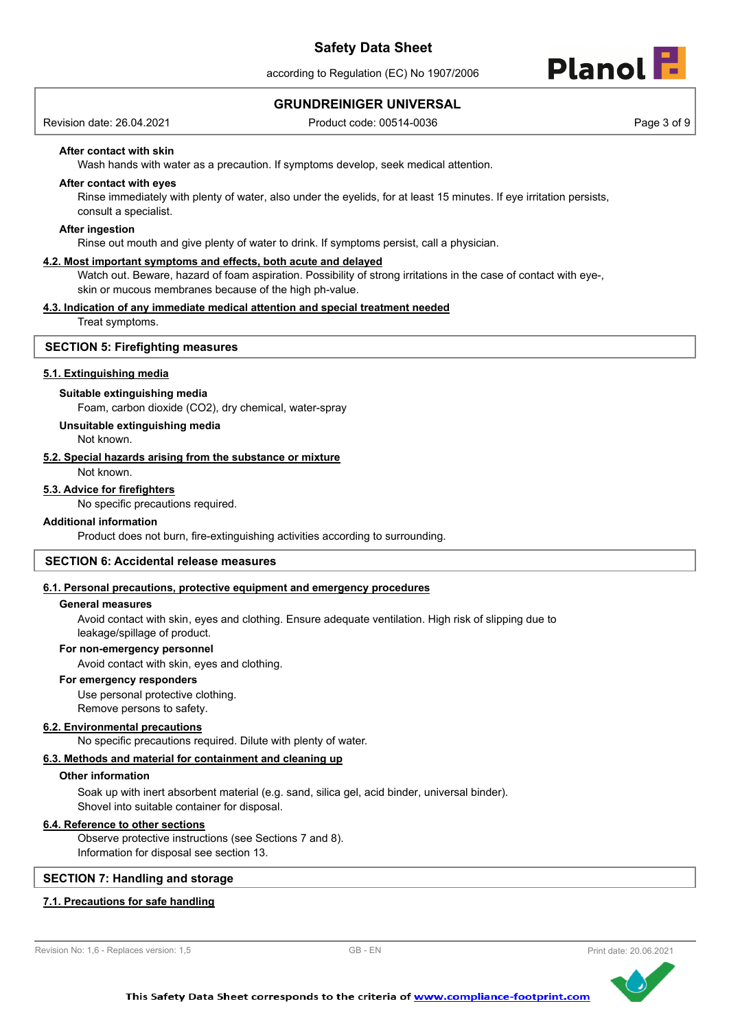according to Regulation (EC) No 1907/2006



### **GRUNDREINIGER UNIVERSAL**

Revision date: 26.04.2021 **Product code: 00514-0036** Product code: 00514-0036

#### **After contact with skin**

Wash hands with water as a precaution. If symptoms develop, seek medical attention.

#### **After contact with eyes**

Rinse immediately with plenty of water, also under the eyelids, for at least 15 minutes. If eye irritation persists, consult a specialist.

#### **After ingestion**

Rinse out mouth and give plenty of water to drink. If symptoms persist, call a physician.

#### **4.2. Most important symptoms and effects, both acute and delayed**

Watch out. Beware, hazard of foam aspiration. Possibility of strong irritations in the case of contact with eye-, skin or mucous membranes because of the high ph-value.

#### **4.3. Indication of any immediate medical attention and special treatment needed**

Treat symptoms.

#### **SECTION 5: Firefighting measures**

#### **5.1. Extinguishing media**

#### **Suitable extinguishing media**

Foam, carbon dioxide (CO2), dry chemical, water-spray

**Unsuitable extinguishing media**

Not known.

#### **5.2. Special hazards arising from the substance or mixture**

Not known.

#### **5.3. Advice for firefighters**

No specific precautions required.

#### **Additional information**

Product does not burn, fire-extinguishing activities according to surrounding.

#### **SECTION 6: Accidental release measures**

#### **6.1. Personal precautions, protective equipment and emergency procedures**

#### **General measures**

Avoid contact with skin, eyes and clothing. Ensure adequate ventilation. High risk of slipping due to leakage/spillage of product.

#### **For non-emergency personnel**

Avoid contact with skin, eyes and clothing.

### **For emergency responders**

Use personal protective clothing. Remove persons to safety.

#### **6.2. Environmental precautions**

No specific precautions required. Dilute with plenty of water.

### **6.3. Methods and material for containment and cleaning up**

### **Other information**

Soak up with inert absorbent material (e.g. sand, silica gel, acid binder, universal binder). Shovel into suitable container for disposal.

### **6.4. Reference to other sections**

Observe protective instructions (see Sections 7 and 8). Information for disposal see section 13.

### **SECTION 7: Handling and storage**

### **7.1. Precautions for safe handling**



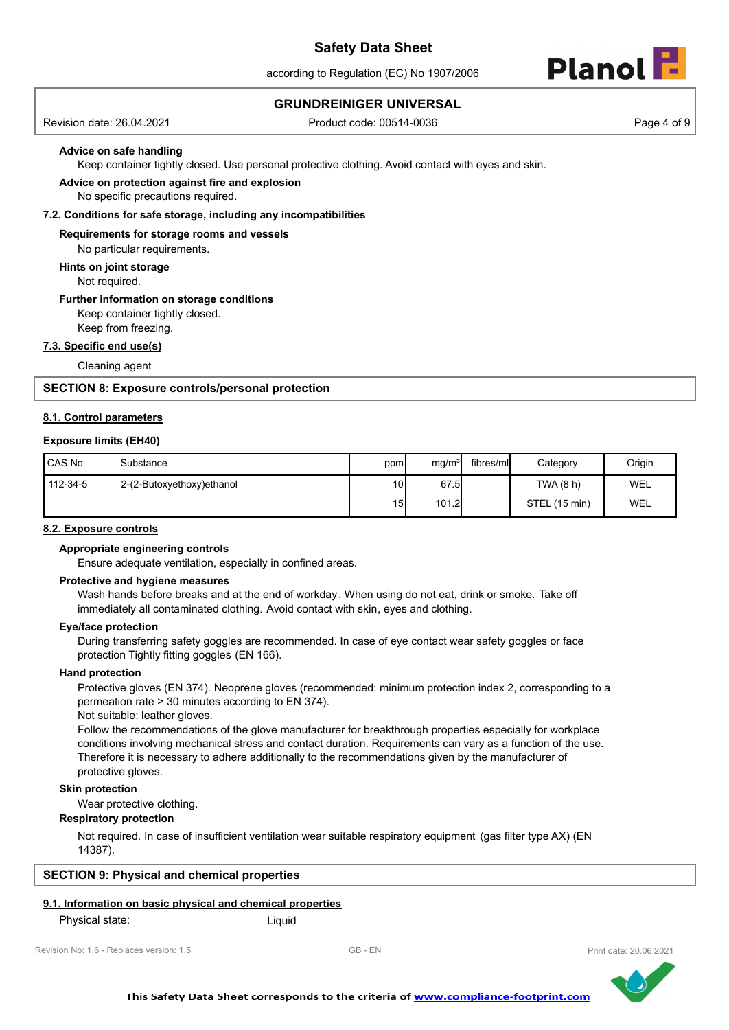according to Regulation (EC) No 1907/2006



### **GRUNDREINIGER UNIVERSAL**

Revision date: 26.04.2021 Product code: 00514-0036 Page 4 of 9

#### **Advice on safe handling**

Keep container tightly closed. Use personal protective clothing. Avoid contact with eyes and skin.

#### No specific precautions required. **Advice on protection against fire and explosion**

#### **7.2. Conditions for safe storage, including any incompatibilities**

**Requirements for storage rooms and vessels**

No particular requirements.

**Hints on joint storage**

Not required.

## **Further information on storage conditions**

Keep container tightly closed.

Keep from freezing.

### **7.3. Specific end use(s)**

Cleaning agent

#### **SECTION 8: Exposure controls/personal protection**

#### **8.1. Control parameters**

#### **Exposure limits (EH40)**

| <b>CAS No</b> | Substance                 | ppm | mg/m <sup>3</sup> | fibres/mll | Category      | Origin     |
|---------------|---------------------------|-----|-------------------|------------|---------------|------------|
| 112-34-5      | 2-(2-Butoxyethoxy)ethanol | 10I | 67.5              |            | TWA (8 h)     | <b>WEL</b> |
|               |                           | 15  | 101.2             |            | STEL (15 min) | WEL        |

#### **8.2. Exposure controls**

#### **Appropriate engineering controls**

Ensure adequate ventilation, especially in confined areas.

#### **Protective and hygiene measures**

Wash hands before breaks and at the end of workday. When using do not eat, drink or smoke. Take off immediately all contaminated clothing. Avoid contact with skin, eyes and clothing.

#### **Eye/face protection**

During transferring safety goggles are recommended. In case of eye contact wear safety goggles or face protection Tightly fitting goggles (EN 166).

#### **Hand protection**

Protective gloves (EN 374). Neoprene gloves (recommended: minimum protection index 2, corresponding to a permeation rate > 30 minutes according to EN 374).

Not suitable: leather gloves.

Follow the recommendations of the glove manufacturer for breakthrough properties especially for workplace conditions involving mechanical stress and contact duration. Requirements can vary as a function of the use. Therefore it is necessary to adhere additionally to the recommendations given by the manufacturer of protective gloves.

#### **Skin protection**

Wear protective clothing.

#### **Respiratory protection**

Not required. In case of insufficient ventilation wear suitable respiratory equipment (gas filter type AX) (EN 14387).

### **SECTION 9: Physical and chemical properties**

#### **9.1. Information on basic physical and chemical properties**

Physical state: Liquid



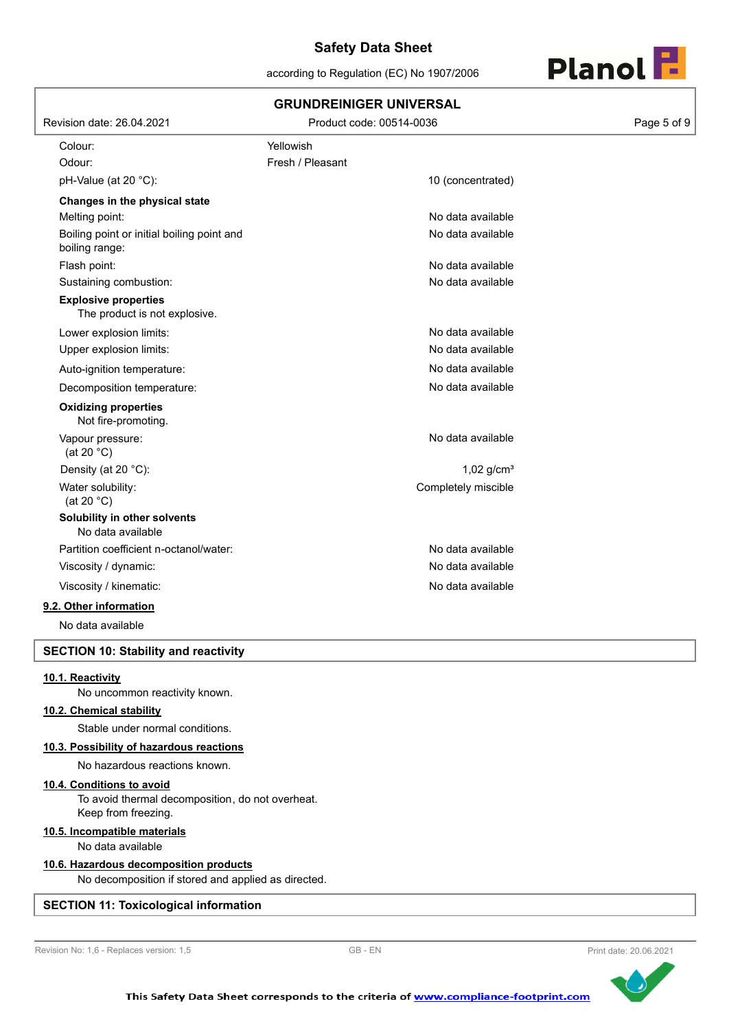according to Regulation (EC) No 1907/2006



|                                                              | <b>GRUNDREINIGER UNIVERSAL</b> |             |
|--------------------------------------------------------------|--------------------------------|-------------|
| Revision date: 26.04.2021                                    | Product code: 00514-0036       | Page 5 of 9 |
| Colour:                                                      | Yellowish                      |             |
| Odour:                                                       | Fresh / Pleasant               |             |
| pH-Value (at 20 °C):                                         | 10 (concentrated)              |             |
| Changes in the physical state                                |                                |             |
| Melting point:                                               | No data available              |             |
| Boiling point or initial boiling point and<br>boiling range: | No data available              |             |
| Flash point:                                                 | No data available              |             |
| Sustaining combustion:                                       | No data available              |             |
| <b>Explosive properties</b><br>The product is not explosive. |                                |             |
| Lower explosion limits:                                      | No data available              |             |
| Upper explosion limits:                                      | No data available              |             |
| Auto-ignition temperature:                                   | No data available              |             |
| Decomposition temperature:                                   | No data available              |             |
| <b>Oxidizing properties</b><br>Not fire-promoting.           |                                |             |
| Vapour pressure:<br>(at 20 $°C$ )                            | No data available              |             |
| Density (at 20 °C):                                          | $1,02$ g/cm <sup>3</sup>       |             |
| Water solubility:<br>(at 20 $°C$ )                           | Completely miscible            |             |
| Solubility in other solvents<br>No data available            |                                |             |
| Partition coefficient n-octanol/water:                       | No data available              |             |
| Viscosity / dynamic:                                         | No data available              |             |
| Viscosity / kinematic:                                       | No data available              |             |
| 9.2. Other information                                       |                                |             |
| No data available                                            |                                |             |

### **SECTION 10: Stability and reactivity**

#### **10.1. Reactivity**

No uncommon reactivity known.

#### **10.2. Chemical stability**

Stable under normal conditions.

#### **10.3. Possibility of hazardous reactions**

No hazardous reactions known.

#### **10.4. Conditions to avoid**

To avoid thermal decomposition, do not overheat. Keep from freezing.

#### **10.5. Incompatible materials**

No data available

#### **10.6. Hazardous decomposition products**

No decomposition if stored and applied as directed.

### **SECTION 11: Toxicological information**



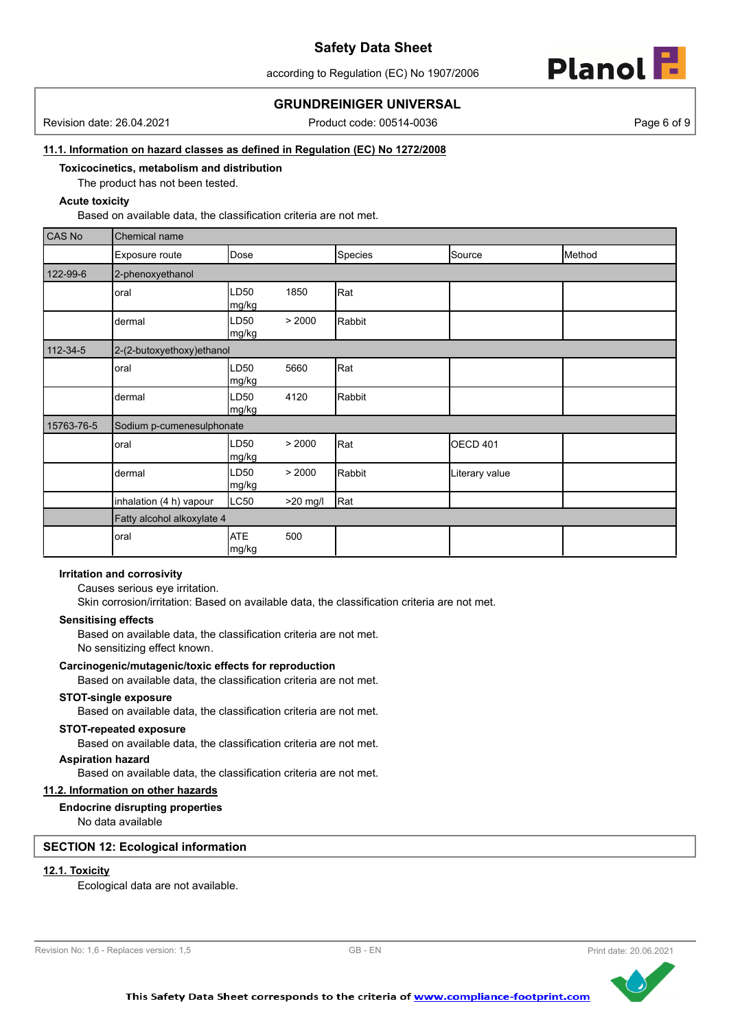according to Regulation (EC) No 1907/2006



### **GRUNDREINIGER UNIVERSAL**

Revision date: 26.04.2021 Product code: 00514-0036 Page 6 of 9

#### **11.1. Information on hazard classes as defined in Regulation (EC) No 1272/2008**

**Toxicocinetics, metabolism and distribution**

The product has not been tested.

#### **Acute toxicity**

Based on available data, the classification criteria are not met.

| CAS No     | Chemical name              |                           |          |         |                |        |
|------------|----------------------------|---------------------------|----------|---------|----------------|--------|
|            | Exposure route             | Dose                      |          | Species | Source         | Method |
| 122-99-6   | 2-phenoxyethanol           |                           |          |         |                |        |
|            | oral                       | LD50<br>mg/kg             | 1850     | Rat     |                |        |
|            | dermal                     | LD50<br>mg/kg             | > 2000   | Rabbit  |                |        |
| 112-34-5   | 2-(2-butoxyethoxy) ethanol |                           |          |         |                |        |
|            | oral                       | LD50<br>mg/kg             | 5660     | Rat     |                |        |
|            | dermal                     | LD <sub>50</sub><br>mg/kg | 4120     | Rabbit  |                |        |
| 15763-76-5 | Sodium p-cumenesulphonate  |                           |          |         |                |        |
|            | oral                       | LD50<br>mg/kg             | > 2000   | Rat     | OECD 401       |        |
|            | dermal                     | LD50<br>mg/kg             | > 2000   | Rabbit  | Literary value |        |
|            | inhalation (4 h) vapour    | LC50                      | >20 mg/l | Rat     |                |        |
|            | Fatty alcohol alkoxylate 4 |                           |          |         |                |        |
|            | oral                       | <b>ATE</b><br>mg/kg       | 500      |         |                |        |

#### **Irritation and corrosivity**

Causes serious eye irritation.

Skin corrosion/irritation: Based on available data, the classification criteria are not met.

#### **Sensitising effects**

Based on available data, the classification criteria are not met. No sensitizing effect known.

#### **Carcinogenic/mutagenic/toxic effects for reproduction**

Based on available data, the classification criteria are not met.

#### **STOT-single exposure**

Based on available data, the classification criteria are not met.

### **STOT-repeated exposure**

Based on available data, the classification criteria are not met.

### **Aspiration hazard**

Based on available data, the classification criteria are not met.

### **11.2. Information on other hazards**

### **Endocrine disrupting properties**

No data available

### **SECTION 12: Ecological information**

### **12.1. Toxicity**

Ecological data are not available.

```
Revision No: 1,6 - Replaces version: 1,5 GB - EN GB - EN Print date: 20.06.2021
```
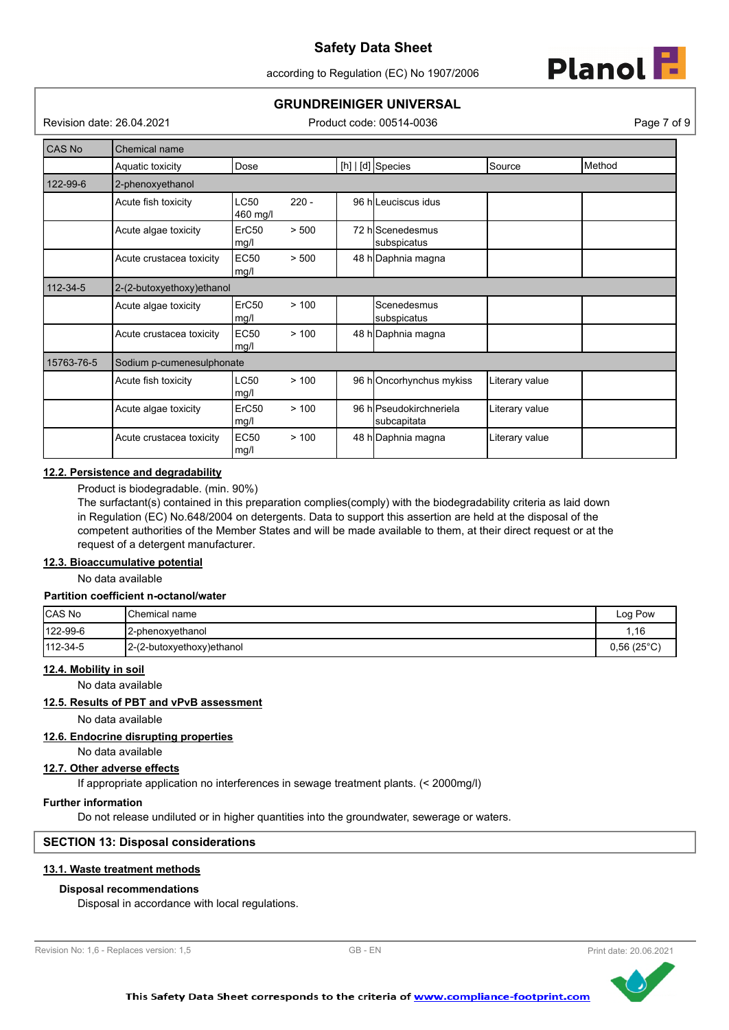according to Regulation (EC) No 1907/2006



# **GRUNDREINIGER UNIVERSAL**

Revision date: 26.04.2021 Product code: 00514-0036 Page 7 of 9

| CAS No     | Chemical name             |                           |         |                                        |                |        |
|------------|---------------------------|---------------------------|---------|----------------------------------------|----------------|--------|
|            | Aquatic toxicity          | Dose                      |         | [h]   [d] Species                      | Source         | Method |
| 122-99-6   | 2-phenoxyethanol          |                           |         |                                        |                |        |
|            | Acute fish toxicity       | LC50<br>460 mg/l          | $220 -$ | 96 hlLeuciscus idus                    |                |        |
|            | Acute algae toxicity      | ErC <sub>50</sub><br>mg/l | > 500   | 72 hlScenedesmus<br>subspicatus        |                |        |
|            | Acute crustacea toxicity  | EC50<br>mg/l              | > 500   | 48 h Daphnia magna                     |                |        |
| 112-34-5   | 2-(2-butoxyethoxy)ethanol |                           |         |                                        |                |        |
|            | Acute algae toxicity      | ErC <sub>50</sub><br>mg/l | >100    | Scenedesmus<br>subspicatus             |                |        |
|            | Acute crustacea toxicity  | <b>EC50</b><br>mg/l       | >100    | 48 h Daphnia magna                     |                |        |
| 15763-76-5 | Sodium p-cumenesulphonate |                           |         |                                        |                |        |
|            | Acute fish toxicity       | LC50<br>mg/l              | >100    | 96 hOncorhynchus mykiss                | Literary value |        |
|            | Acute algae toxicity      | ErC50<br>mg/l             | >100    | 96 hlPseudokirchneriela<br>subcapitata | Literary value |        |
|            | Acute crustacea toxicity  | <b>EC50</b><br>mg/l       | >100    | 48 h Daphnia magna                     | Literary value |        |

#### **12.2. Persistence and degradability**

Product is biodegradable. (min. 90%)

The surfactant(s) contained in this preparation complies(comply) with the biodegradability criteria as laid down in Regulation (EC) No.648/2004 on detergents. Data to support this assertion are held at the disposal of the competent authorities of the Member States and will be made available to them, at their direct request or at the request of a detergent manufacturer.

### **12.3. Bioaccumulative potential**

No data available

### **Partition coefficient n-octanol/water**

| CAS No   | <b>I</b> Chemical name    | Log Pow             |
|----------|---------------------------|---------------------|
| 122-99-6 | <b>I</b> 2-phenoxvethanol | .16                 |
| 112-34-5 | 2-(2-butoxyethoxy)ethanol | $0,56(25^{\circ}C)$ |

### **12.4. Mobility in soil**

No data available

#### **12.5. Results of PBT and vPvB assessment**

No data available

#### **12.6. Endocrine disrupting properties**

No data available

#### **12.7. Other adverse effects**

If appropriate application no interferences in sewage treatment plants. (< 2000mg/l)

#### **Further information**

Do not release undiluted or in higher quantities into the groundwater, sewerage or waters.

### **SECTION 13: Disposal considerations**

#### **13.1. Waste treatment methods**

#### **Disposal recommendations**

Disposal in accordance with local regulations.

```
Revision No: 1,6 - Replaces version: 1,5 GB - EN GB - EN Print date: 20.06.2021
```


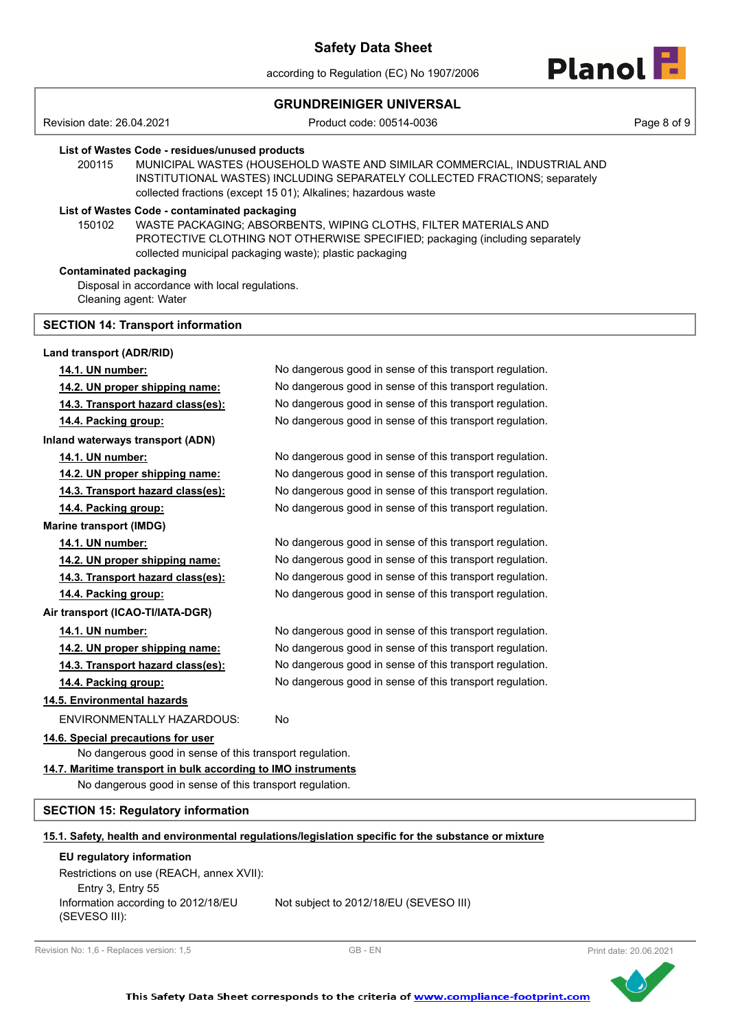according to Regulation (EC) No 1907/2006



### **GRUNDREINIGER UNIVERSAL**

Revision date: 26.04.2021 Product code: 00514-0036 Page 8 of 9

#### **List of Wastes Code - residues/unused products**

200115 MUNICIPAL WASTES (HOUSEHOLD WASTE AND SIMILAR COMMERCIAL, INDUSTRIAL AND INSTITUTIONAL WASTES) INCLUDING SEPARATELY COLLECTED FRACTIONS; separately collected fractions (except 15 01); Alkalines; hazardous waste

### **List of Wastes Code - contaminated packaging**

WASTE PACKAGING; ABSORBENTS, WIPING CLOTHS, FILTER MATERIALS AND PROTECTIVE CLOTHING NOT OTHERWISE SPECIFIED; packaging (including separately collected municipal packaging waste); plastic packaging 150102

#### **Contaminated packaging**

Disposal in accordance with local regulations. Cleaning agent: Water

#### **SECTION 14: Transport information**

| Land transport (ADR/RID)                                      |                                                                                                      |
|---------------------------------------------------------------|------------------------------------------------------------------------------------------------------|
| 14.1. UN number:                                              | No dangerous good in sense of this transport regulation.                                             |
| 14.2. UN proper shipping name:                                | No dangerous good in sense of this transport regulation.                                             |
| 14.3. Transport hazard class(es):                             | No dangerous good in sense of this transport regulation.                                             |
| 14.4. Packing group:                                          | No dangerous good in sense of this transport regulation.                                             |
| Inland waterways transport (ADN)                              |                                                                                                      |
| 14.1. UN number:                                              | No dangerous good in sense of this transport regulation.                                             |
| 14.2. UN proper shipping name:                                | No dangerous good in sense of this transport regulation.                                             |
| 14.3. Transport hazard class(es):                             | No dangerous good in sense of this transport regulation.                                             |
| 14.4. Packing group:                                          | No dangerous good in sense of this transport regulation.                                             |
| <b>Marine transport (IMDG)</b>                                |                                                                                                      |
| 14.1. UN number:                                              | No dangerous good in sense of this transport regulation.                                             |
| 14.2. UN proper shipping name:                                | No dangerous good in sense of this transport regulation.                                             |
| 14.3. Transport hazard class(es):                             | No dangerous good in sense of this transport regulation.                                             |
| 14.4. Packing group:                                          | No dangerous good in sense of this transport regulation.                                             |
| Air transport (ICAO-TI/IATA-DGR)                              |                                                                                                      |
| 14.1. UN number:                                              | No dangerous good in sense of this transport regulation.                                             |
| 14.2. UN proper shipping name:                                | No dangerous good in sense of this transport regulation.                                             |
| 14.3. Transport hazard class(es):                             | No dangerous good in sense of this transport regulation.                                             |
| 14.4. Packing group:                                          | No dangerous good in sense of this transport regulation.                                             |
| 14.5. Environmental hazards                                   |                                                                                                      |
| ENVIRONMENTALLY HAZARDOUS:                                    | No                                                                                                   |
| 14.6. Special precautions for user                            |                                                                                                      |
| No dangerous good in sense of this transport regulation.      |                                                                                                      |
| 14.7. Maritime transport in bulk according to IMO instruments |                                                                                                      |
| No dangerous good in sense of this transport regulation.      |                                                                                                      |
| <b>SECTION 15: Regulatory information</b>                     |                                                                                                      |
|                                                               | 15.1. Safety, health and environmental regulations/legislation specific for the substance or mixture |
| EU regulatory information                                     |                                                                                                      |
| Restrictions on use (REACH, annex XVII):                      |                                                                                                      |
| Entry 3, Entry 55                                             |                                                                                                      |
| Information appareing to $2012/10E11$                         | Not ouble at to $2042/40$ (FU (CEVECO III)                                                           |

Information according to 2012/18/EU (SEVESO III):

Not subject to 2012/18/EU (SEVESO III)